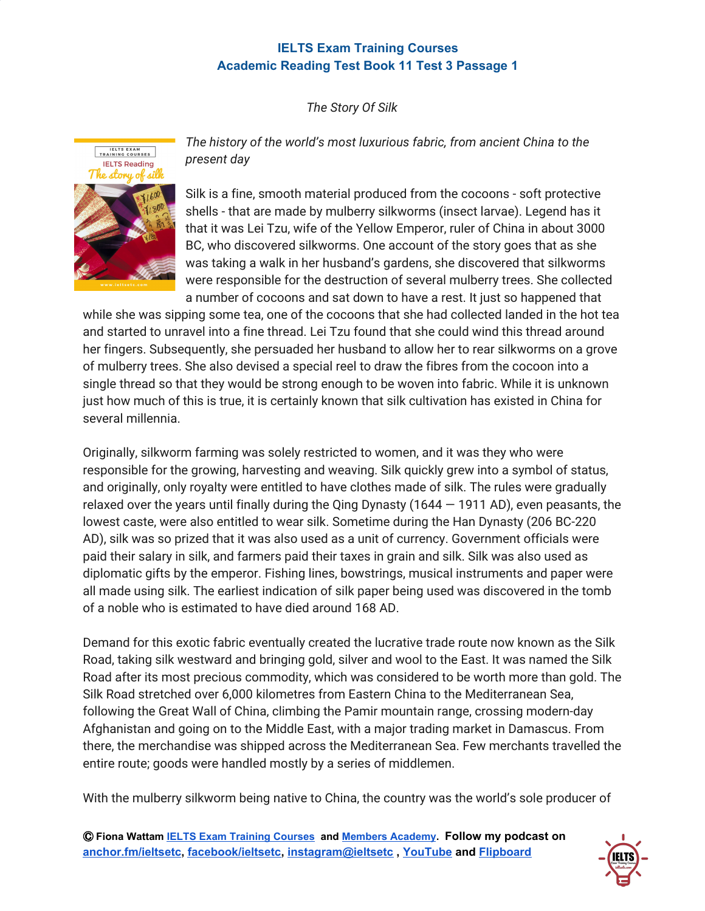*The Story Of Silk*

IELTS EXAM<br>TRAINING COURSES **IELTS Reading** The story of silk

*The history of the world's most luxurious fabric, from ancient China to the present day*

Silk is a fine, smooth material produced from the cocoons - soft protective shells - that are made by mulberry silkworms (insect larvae). Legend has it that it was Lei Tzu, wife of the Yellow Emperor, ruler of China in about 3000 BC, who discovered silkworms. One account of the story goes that as she was taking a walk in her husband's gardens, she discovered that silkworms were responsible for the destruction of several mulberry trees. She collected a number of cocoons and sat down to have a rest. It just so happened that

while she was sipping some tea, one of the cocoons that she had collected landed in the hot tea and started to unravel into a fine thread. Lei Tzu found that she could wind this thread around her fingers. Subsequently, she persuaded her husband to allow her to rear silkworms on a grove of mulberry trees. She also devised a special reel to draw the fibres from the cocoon into a single thread so that they would be strong enough to be woven into fabric. While it is unknown just how much of this is true, it is certainly known that silk cultivation has existed in China for several millennia.

Originally, silkworm farming was solely restricted to women, and it was they who were responsible for the growing, harvesting and weaving. Silk quickly grew into a symbol of status, and originally, only royalty were entitled to have clothes made of silk. The rules were gradually relaxed over the years until finally during the Qing Dynasty (1644  $-$  1911 AD), even peasants, the lowest caste, were also entitled to wear silk. Sometime during the Han Dynasty (206 BC-220 AD), silk was so prized that it was also used as a unit of currency. Government officials were paid their salary in silk, and farmers paid their taxes in grain and silk. Silk was also used as diplomatic gifts by the emperor. Fishing lines, bowstrings, musical instruments and paper were all made using silk. The earliest indication of silk paper being used was discovered in the tomb of a noble who is estimated to have died around 168 AD.

Demand for this exotic fabric eventually created the lucrative trade route now known as the Silk Road, taking silk westward and bringing gold, silver and wool to the East. It was named the Silk Road after its most precious commodity, which was considered to be worth more than gold. The Silk Road stretched over 6,000 kilometres from Eastern China to the Mediterranean Sea, following the Great Wall of China, climbing the Pamir mountain range, crossing modern-day Afghanistan and going on to the Middle East, with a major trading market in Damascus. From there, the merchandise was shipped across the Mediterranean Sea. Few merchants travelled the entire route; goods were handled mostly by a series of middlemen.

With the mulberry silkworm being native to China, the country was the world's sole producer of

Ⓒ **Fiona Wattam [IELTS Exam Training Courses](https://www.ieltsetc.com/) and [Members Academy](http://www.members.ieltsetc.com/academy). Follow my podcast on [anchor.fm/ieltsetc,](https://anchor.fm/ieltsetc) [facebook/ieltsetc](https://www.facebook.com/groups/528060717568309/), [instagram@ieltsetc](https://www.instagram.com/ieltsetc/) , [YouTube](https://www.youtube.com/channel/UC1tn5rRqHkjO2YWZ_MWwvZw) and [Flipboard](https://flipboard.com/@FionaWattam)**

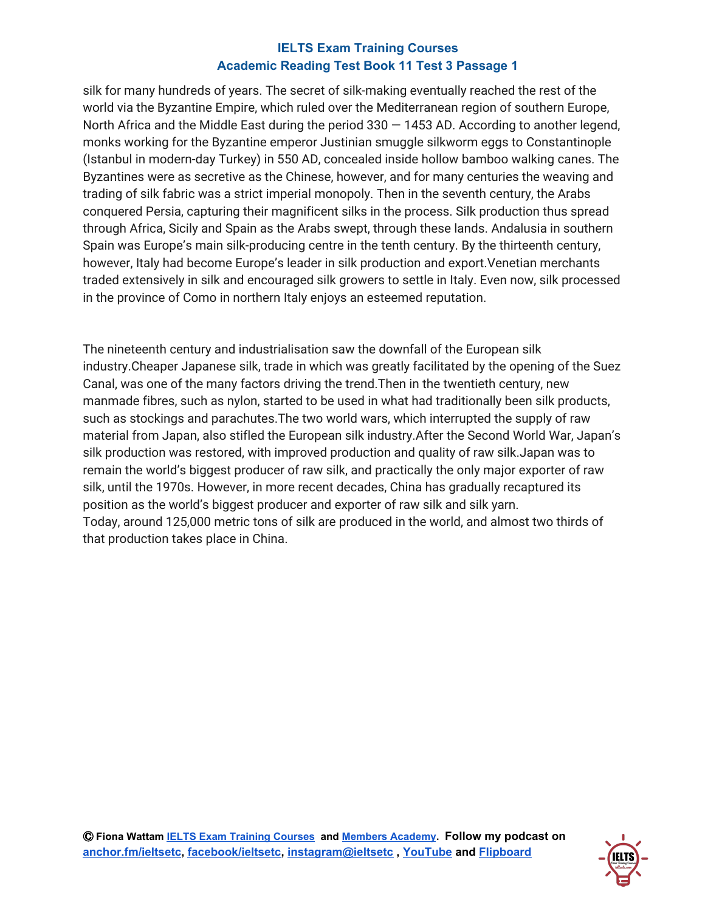silk for many hundreds of years. The secret of silk-making eventually reached the rest of the world via the Byzantine Empire, which ruled over the Mediterranean region of southern Europe, North Africa and the Middle East during the period 330 — 1453 AD. According to another legend, monks working for the Byzantine emperor Justinian smuggle silkworm eggs to Constantinople (Istanbul in modern-day Turkey) in 550 AD, concealed inside hollow bamboo walking canes. The Byzantines were as secretive as the Chinese, however, and for many centuries the weaving and trading of silk fabric was a strict imperial monopoly. Then in the seventh century, the Arabs conquered Persia, capturing their magnificent silks in the process. Silk production thus spread through Africa, Sicily and Spain as the Arabs swept, through these lands. Andalusia in southern Spain was Europe's main silk-producing centre in the tenth century. By the thirteenth century, however, Italy had become Europe's leader in silk production and export.Venetian merchants traded extensively in silk and encouraged silk growers to settle in Italy. Even now, silk processed in the province of Como in northern Italy enjoys an esteemed reputation.

The nineteenth century and industrialisation saw the downfall of the European silk industry.Cheaper Japanese silk, trade in which was greatly facilitated by the opening of the Suez Canal, was one of the many factors driving the trend.Then in the twentieth century, new manmade fibres, such as nylon, started to be used in what had traditionally been silk products, such as stockings and parachutes.The two world wars, which interrupted the supply of raw material from Japan, also stifled the European silk industry.After the Second World War, Japan's silk production was restored, with improved production and quality of raw silk.Japan was to remain the world's biggest producer of raw silk, and practically the only major exporter of raw silk, until the 1970s. However, in more recent decades, China has gradually recaptured its position as the world's biggest producer and exporter of raw silk and silk yarn. Today, around 125,000 metric tons of silk are produced in the world, and almost two thirds of that production takes place in China.

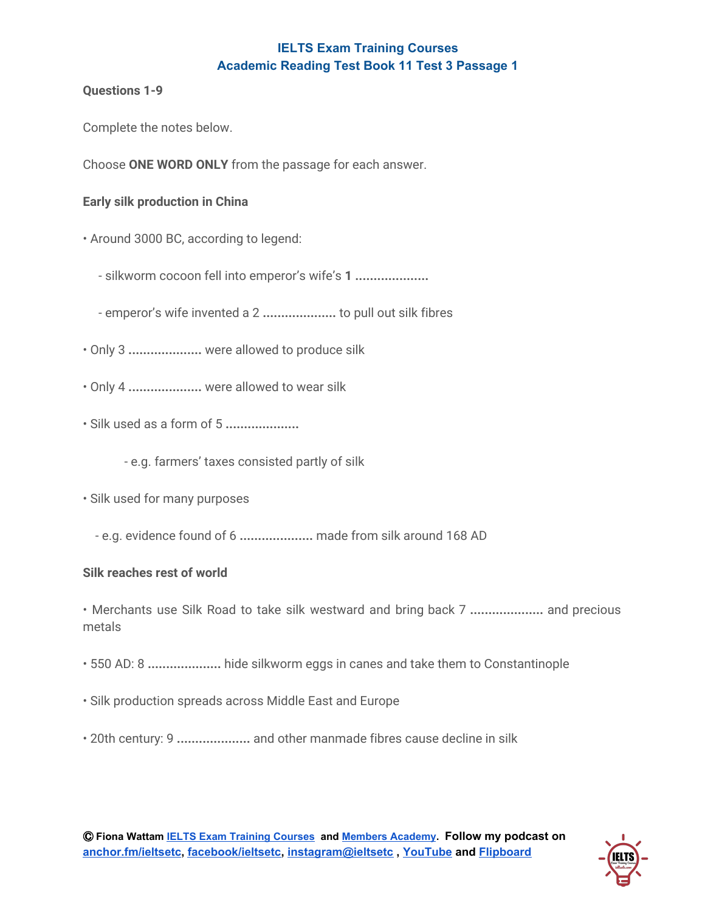### **Questions 1-9**

Complete the notes below.

Choose **ONE WORD ONLY** from the passage for each answer.

### **Early silk production in China**

• Around 3000 BC, according to legend:

- silkworm cocoon fell into emperor's wife's **1 ....................**
- emperor's wife invented a 2 **....................** to pull out silk fibres
- Only 3 **....................** were allowed to produce silk
- Only 4 **....................** were allowed to wear silk
- Silk used as a form of 5 **....................**

- e.g. farmers' taxes consisted partly of silk

• Silk used for many purposes

- e.g. evidence found of 6 **....................** made from silk around 168 AD

### **Silk reaches rest of world**

• Merchants use Silk Road to take silk westward and bring back 7 **....................** and precious metals

- 550 AD: 8 **....................** hide silkworm eggs in canes and take them to Constantinople
- Silk production spreads across Middle East and Europe
- 20th century: 9 **....................** and other manmade fibres cause decline in silk

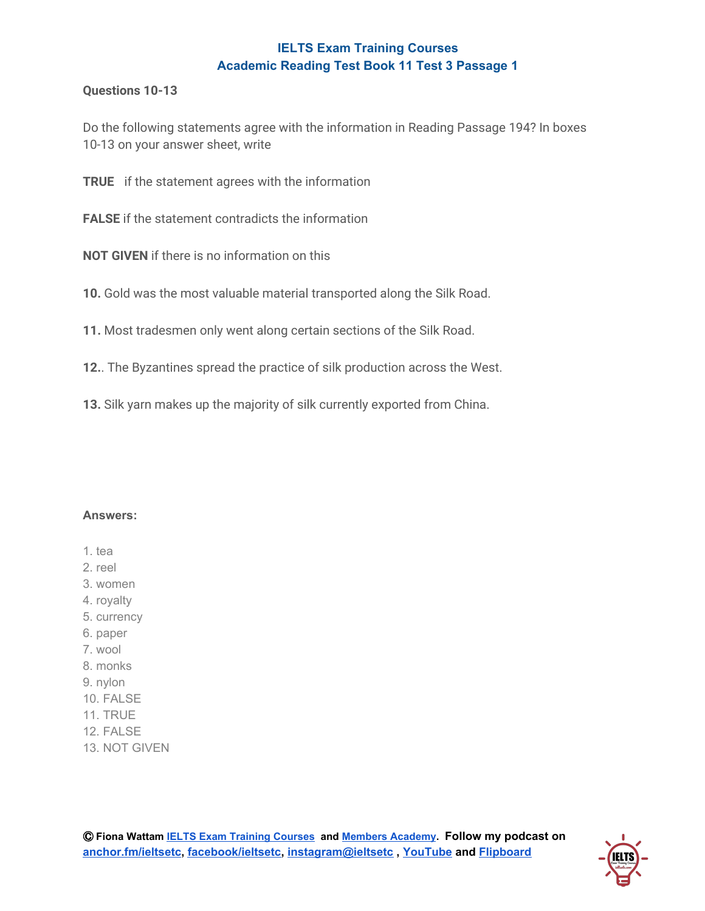#### **Questions 10-13**

Do the following statements agree with the information in Reading Passage 194? In boxes 10-13 on your answer sheet, write

- **TRUE** if the statement agrees with the information
- **FALSE** if the statement contradicts the information
- **NOT GIVEN** if there is no information on this
- **10.** Gold was the most valuable material transported along the Silk Road.
- **11.** Most tradesmen only went along certain sections of the Silk Road.
- **12.**. The Byzantines spread the practice of silk production across the West.
- **13.** Silk yarn makes up the majority of silk currently exported from China.

#### **Answers:**

- 1. tea
- 2. reel
- 3. women
- 4. royalty
- 5. currency
- 6. paper
- 7. wool
- 8. monks
- 9. nylon
- 10. FALSE
- 11. TRUE
- 12. FALSE
- 13. NOT GIVEN

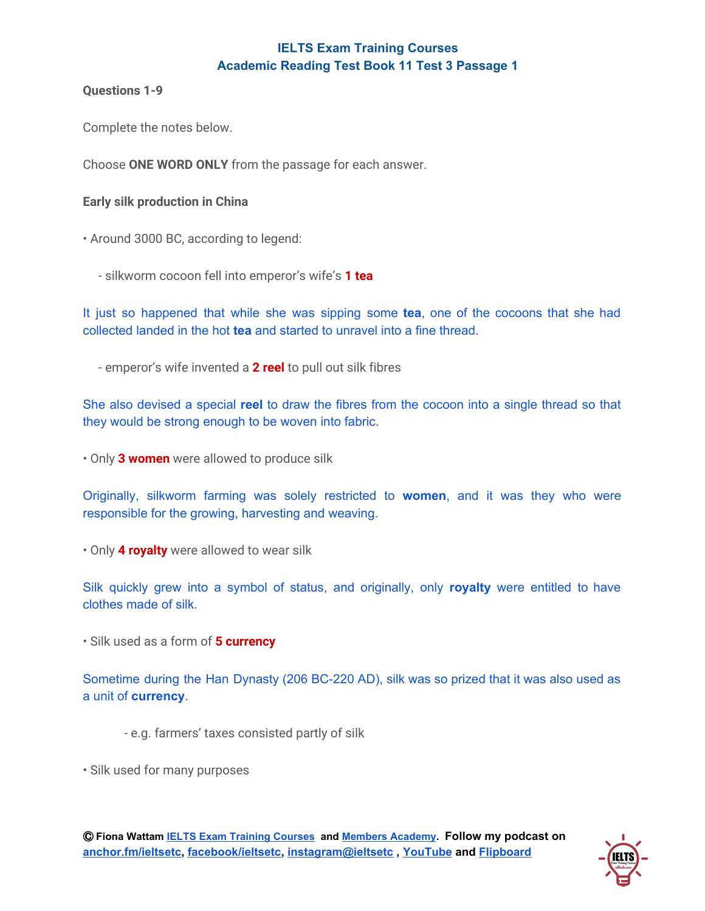**Questions 1-9**

Complete the notes below.

Choose **ONE WORD ONLY** from the passage for each answer.

**Early silk production in China**

• Around 3000 BC, according to legend:

- silkworm cocoon fell into emperor's wife's **1 tea**

It just so happened that while she was sipping some **tea**, one of the cocoons that she had collected landed in the hot **tea** and started to unravel into a fine thread.

- emperor's wife invented a **2 reel** to pull out silk fibres

She also devised a special **reel** to draw the fibres from the cocoon into a single thread so that they would be strong enough to be woven into fabric.

• Only **3 women** were allowed to produce silk

Originally, silkworm farming was solely restricted to **women**, and it was they who were responsible for the growing, harvesting and weaving.

• Only **4 royalty** were allowed to wear silk

Silk quickly grew into a symbol of status, and originally, only **royalty** were entitled to have clothes made of silk.

• Silk used as a form of **5 currency**

Sometime during the Han Dynasty (206 BC-220 AD), silk was so prized that it was also used as a unit of **currency**.

- e.g. farmers' taxes consisted partly of silk

• Silk used for many purposes

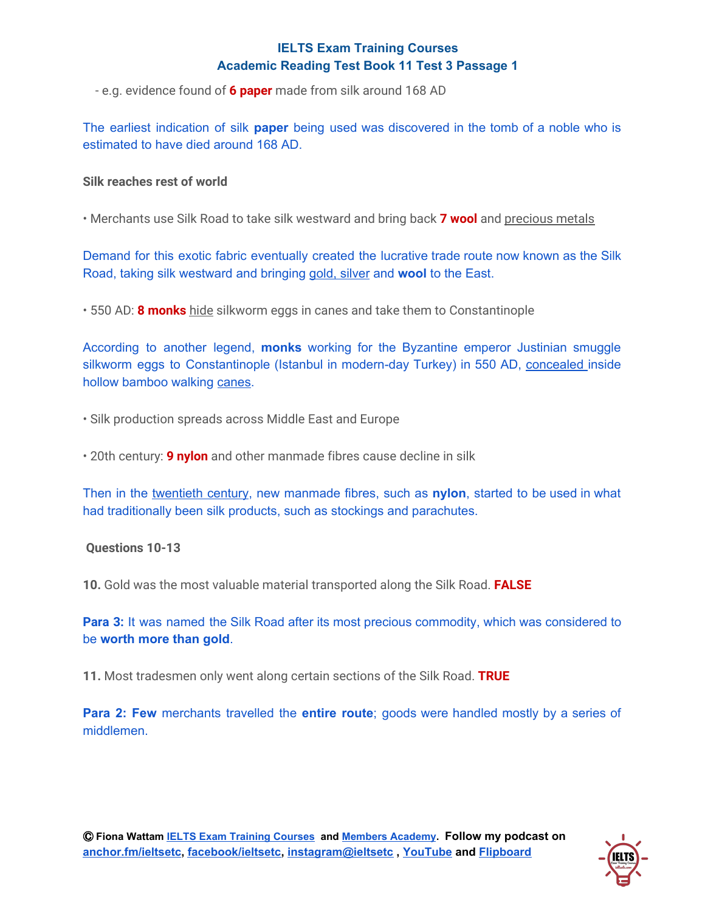- e.g. evidence found of **6 paper** made from silk around 168 AD

The earliest indication of silk **paper** being used was discovered in the tomb of a noble who is estimated to have died around 168 AD.

#### **Silk reaches rest of world**

• Merchants use Silk Road to take silk westward and bring back **7 wool** and precious metals

Demand for this exotic fabric eventually created the lucrative trade route now known as the Silk Road, taking silk westward and bringing gold, silver and **wool** to the East.

• 550 AD: **8 monks** hide silkworm eggs in canes and take them to Constantinople

According to another legend, **monks** working for the Byzantine emperor Justinian smuggle silkworm eggs to Constantinople (Istanbul in modern-day Turkey) in 550 AD, concealed inside hollow bamboo walking canes.

• Silk production spreads across Middle East and Europe

• 20th century: **9 nylon** and other manmade fibres cause decline in silk

Then in the twentieth century, new manmade fibres, such as **nylon**, started to be used in what had traditionally been silk products, such as stockings and parachutes.

### **Questions 10-13**

**10.** Gold was the most valuable material transported along the Silk Road. **FALSE**

**Para 3:** It was named the Silk Road after its most precious commodity, which was considered to be **worth more than gold**.

**11.** Most tradesmen only went along certain sections of the Silk Road. **TRUE**

**Para 2: Few** merchants travelled the **entire route**; goods were handled mostly by a series of middlemen.